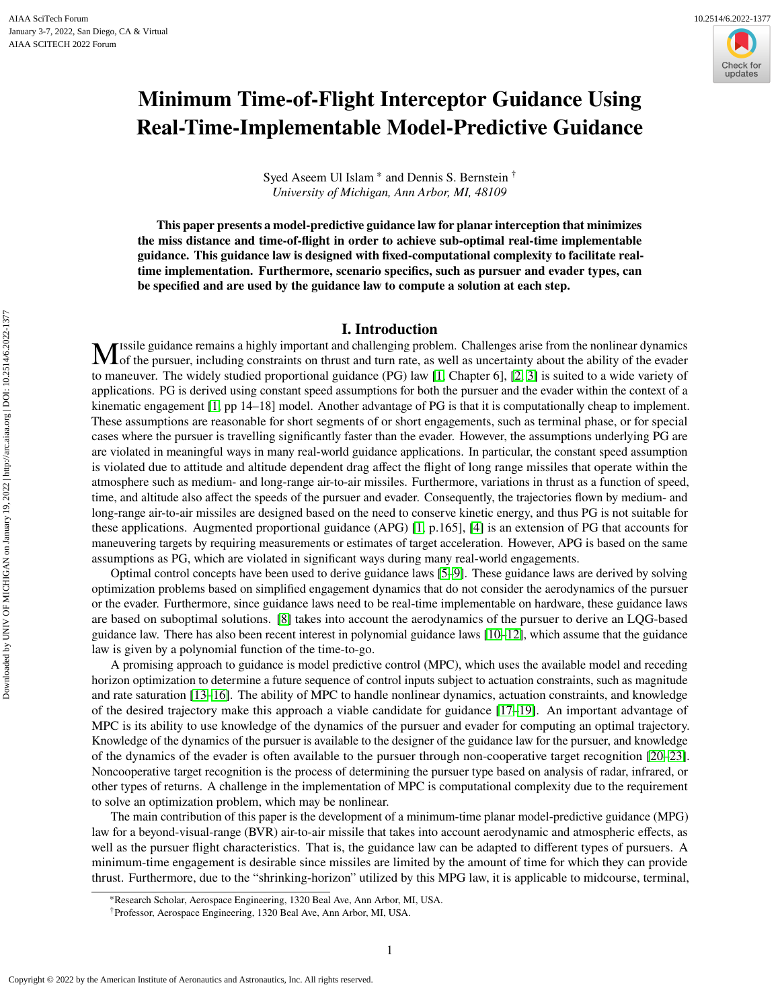Downloaded by UNIV OF MICHIGAN on January 19, 2022 | http://arc.aiaa.org | DOI: 10.2514/6.2022-1377

Downloaded by UNIV OF MICHIGAN on January 19, 2022 | http://arc.aiaa.org | DOI: 10.2514/6.2022-1377



# **Minimum Time-of-Flight Interceptor Guidance Using Real-Time-Implementable Model-Predictive Guidance**

Syed Aseem Ul Islam<sup>\*</sup> and Dennis S. Bernstein<sup>†</sup> *University of Michigan, Ann Arbor, MI, 48109*

**This paper presents a model-predictive guidance law for planar interception that minimizes the miss distance and time-of-flight in order to achieve sub-optimal real-time implementable guidance. This guidance law is designed with fixed-computational complexity to facilitate realtime implementation. Furthermore, scenario specifics, such as pursuer and evader types, can be specified and are used by the guidance law to compute a solution at each step.**

## **I. Introduction**

M issile guidance remains a highly important and challenging problem. Challenges arise from the nonlinear dynamics of the pursuer, including constraints on thrust and turn rate, as well as uncertainty about the ability of of the pursuer, including constraints on thrust and turn rate, as well as uncertainty about the ability of the evader to maneuver. The widely studied proportional guidance (PG) law [\[1,](#page-14-0) Chapter 6], [\[2,](#page-14-1) [3\]](#page-14-2) is suited to a wide variety of applications. PG is derived using constant speed assumptions for both the pursuer and the evader within the context of a kinematic engagement [\[1,](#page-14-0) pp 14–18] model. Another advantage of PG is that it is computationally cheap to implement. These assumptions are reasonable for short segments of or short engagements, such as terminal phase, or for special cases where the pursuer is travelling significantly faster than the evader. However, the assumptions underlying PG are are violated in meaningful ways in many real-world guidance applications. In particular, the constant speed assumption is violated due to attitude and altitude dependent drag affect the flight of long range missiles that operate within the atmosphere such as medium- and long-range air-to-air missiles. Furthermore, variations in thrust as a function of speed, time, and altitude also affect the speeds of the pursuer and evader. Consequently, the trajectories flown by medium- and long-range air-to-air missiles are designed based on the need to conserve kinetic energy, and thus PG is not suitable for these applications. Augmented proportional guidance (APG) [\[1,](#page-14-0) p.165], [\[4\]](#page-14-3) is an extension of PG that accounts for maneuvering targets by requiring measurements or estimates of target acceleration. However, APG is based on the same assumptions as PG, which are violated in significant ways during many real-world engagements.

Optimal control concepts have been used to derive guidance laws [\[5](#page-14-4)[–9\]](#page-14-5). These guidance laws are derived by solving optimization problems based on simplified engagement dynamics that do not consider the aerodynamics of the pursuer or the evader. Furthermore, since guidance laws need to be real-time implementable on hardware, these guidance laws are based on suboptimal solutions. [\[8\]](#page-14-6) takes into account the aerodynamics of the pursuer to derive an LQG-based guidance law. There has also been recent interest in polynomial guidance laws [\[10–](#page-15-0)[12\]](#page-15-1), which assume that the guidance law is given by a polynomial function of the time-to-go.

A promising approach to guidance is model predictive control (MPC), which uses the available model and receding horizon optimization to determine a future sequence of control inputs subject to actuation constraints, such as magnitude and rate saturation [\[13](#page-15-2)[–16\]](#page-15-3). The ability of MPC to handle nonlinear dynamics, actuation constraints, and knowledge of the desired trajectory make this approach a viable candidate for guidance [\[17–](#page-15-4)[19\]](#page-15-5). An important advantage of MPC is its ability to use knowledge of the dynamics of the pursuer and evader for computing an optimal trajectory. Knowledge of the dynamics of the pursuer is available to the designer of the guidance law for the pursuer, and knowledge of the dynamics of the evader is often available to the pursuer through non-cooperative target recognition [\[20–](#page-15-6)[23\]](#page-15-7). Noncooperative target recognition is the process of determining the pursuer type based on analysis of radar, infrared, or other types of returns. A challenge in the implementation of MPC is computational complexity due to the requirement to solve an optimization problem, which may be nonlinear.

The main contribution of this paper is the development of a minimum-time planar model-predictive guidance (MPG) law for a beyond-visual-range (BVR) air-to-air missile that takes into account aerodynamic and atmospheric effects, as well as the pursuer flight characteristics. That is, the guidance law can be adapted to different types of pursuers. A minimum-time engagement is desirable since missiles are limited by the amount of time for which they can provide thrust. Furthermore, due to the "shrinking-horizon" utilized by this MPG law, it is applicable to midcourse, terminal,

<sup>∗</sup>Research Scholar, Aerospace Engineering, 1320 Beal Ave, Ann Arbor, MI, USA.

<sup>†</sup>Professor, Aerospace Engineering, 1320 Beal Ave, Ann Arbor, MI, USA.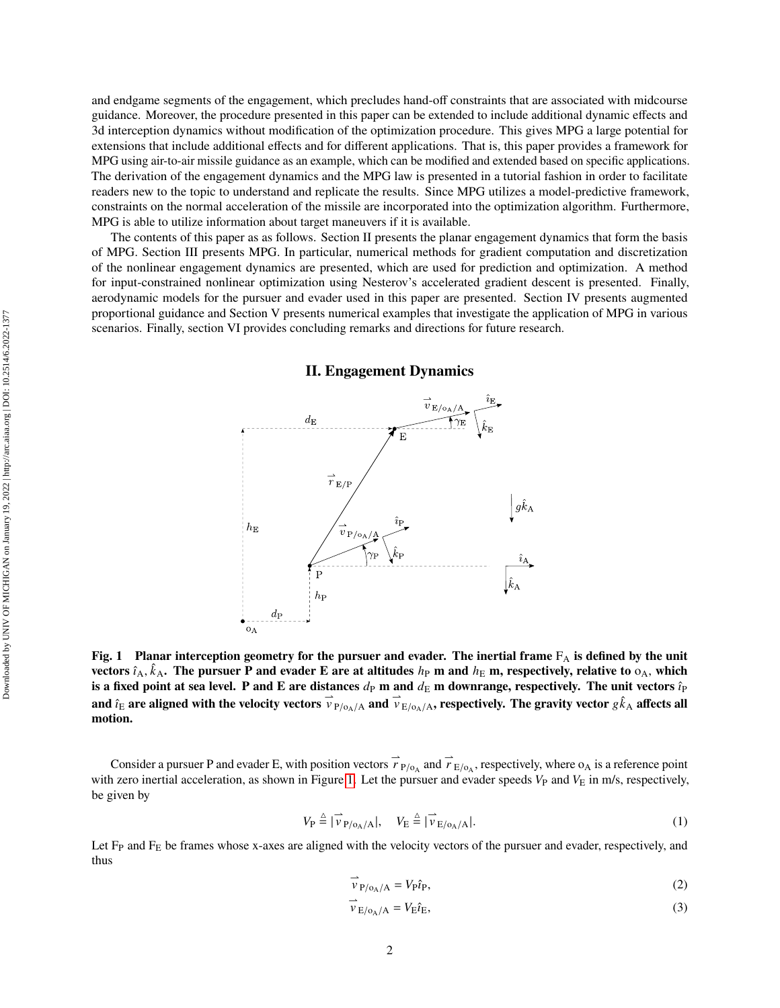guidance. Moreover, the procedure presented in this paper can be extended to include additional dynamic effects and 3d interception dynamics without modification of the optimization procedure. This gives MPG a large potential for extensions that include additional effects and for different applications. That is, this paper provides a framework for MPG using air-to-air missile guidance as an example, which can be modified and extended based on specific applications. The derivation of the engagement dynamics and the MPG law is presented in a tutorial fashion in order to facilitate readers new to the topic to understand and replicate the results. Since MPG utilizes a model-predictive framework, constraints on the normal acceleration of the missile are incorporated into the optimization algorithm. Furthermore, MPG is able to utilize information about target maneuvers if it is available. The contents of this paper as as follows. Section II presents the planar engagement dynamics that form the basis

of MPG. Section III presents MPG. In particular, numerical methods for gradient computation and discretization of the nonlinear engagement dynamics are presented, which are used for prediction and optimization. A method for input-constrained nonlinear optimization using Nesterov's accelerated gradient descent is presented. Finally, aerodynamic models for the pursuer and evader used in this paper are presented. Section IV presents augmented proportional guidance and Section V presents numerical examples that investigate the application of MPG in various scenarios. Finally, section VI provides concluding remarks and directions for future research.

and endgame segments of the engagement, which precludes hand-off constraints that are associated with midcourse

<span id="page-1-0"></span>

## **II. Engagement Dynamics**

**Fig. 1** Planar interception geometry for the pursuer and evader. The inertial frame  $F_A$  is defined by the unit vectors  $\hat{i}_A$ ,  $\hat{k}_A$ . The pursuer P and evader E are at altitudes  $h_P$  m and  $h_E$  m, respectively, relative to  $o_A$ , which **is a fixed point at sea level. P and E are distances**  $d_P$  **m and**  $d_E$  **m downrange, respectively. The unit vectors**  $\hat{i}_P$ and  $\hat{i}_E$  are aligned with the velocity vectors  $\vec{v}_{P/O_A/A}$  and  $\vec{v}_{E/O_A/A}$ , respectively. The gravity vector  $g\hat{k}_A$  affects all **motion.**

Consider a pursuer P and evader E, with position vectors  $\overrightarrow{r}_{P/O_A}$  and  $\overrightarrow{r}_{E/O_A}$ , respectively, where  $O_A$  is a reference point with zero inertial acceleration, as shown in Figure [1.](#page-1-0) Let the pursuer and evader speeds  $V_P$  and  $V_E$  in m/s, respectively, be given by

$$
V_{\rm P} \stackrel{\Delta}{=} |\overrightarrow{v}_{\rm P/O_{\rm A}/\rm A}|, \quad V_{\rm E} \stackrel{\Delta}{=} |\overrightarrow{v}_{\rm E/O_{\rm A}/\rm A}|. \tag{1}
$$

Let F<sub>P</sub> and F<sub>E</sub> be frames whose x-axes are aligned with the velocity vectors of the pursuer and evader, respectively, and thus

<span id="page-1-1"></span>
$$
\overrightarrow{v}_{P/O_A/A} = V_P \hat{i}_P, \tag{2}
$$

<span id="page-1-2"></span>
$$
\vec{v}_{E/o_A/A} = V_E \hat{i}_E, \tag{3}
$$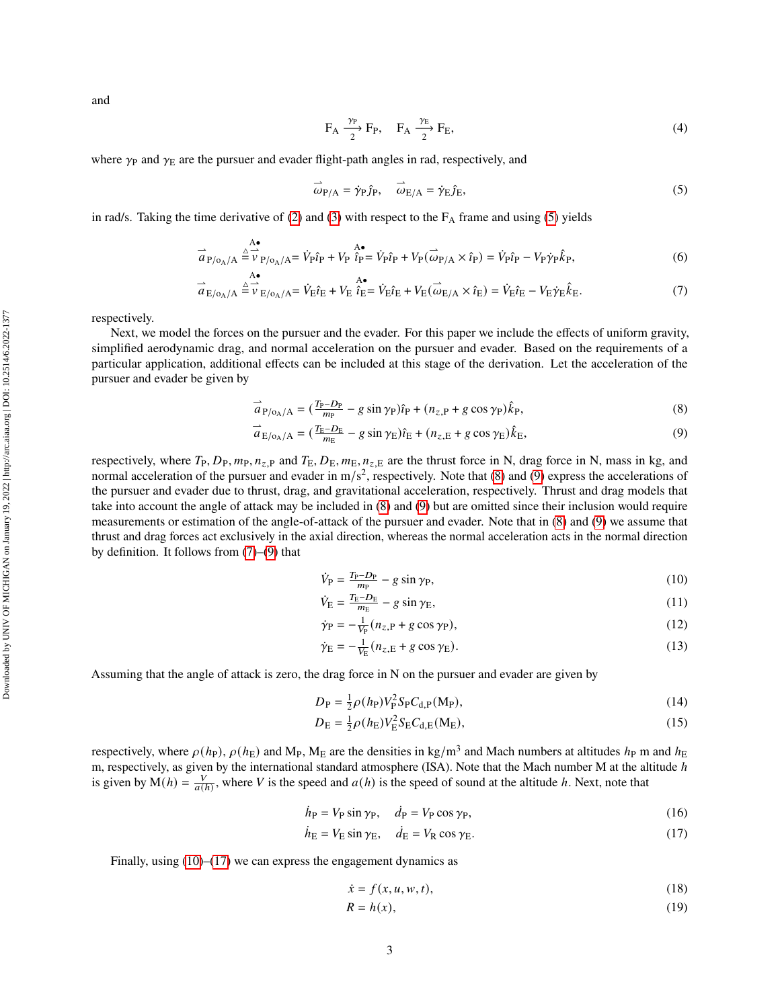and

<span id="page-2-0"></span>
$$
F_A \xrightarrow{ \gamma_P} F_P, \quad F_A \xrightarrow{ \gamma_E} F_E,
$$
\n
$$
(4)
$$

where  $\gamma_P$  and  $\gamma_E$  are the pursuer and evader flight-path angles in rad, respectively, and

<span id="page-2-3"></span>
$$
\vec{\omega}_{P/A} = \dot{\gamma}_P \hat{j}_P, \quad \vec{\omega}_{E/A} = \dot{\gamma}_E \hat{j}_E, \tag{5}
$$

in rad/s. Taking the time derivative of [\(2\)](#page-1-1) and [\(3\)](#page-1-2) with respect to the  $F_A$  frame and using [\(5\)](#page-2-0) yields

$$
\vec{a}_{P/O_A/A} \stackrel{\triangle}{=} \vec{v}_{P/O_A/A}^{\mathbf{A} \bullet} = \vec{V}_{P} \hat{i}_{P} + V_{P} \stackrel{\triangle}{\hat{i}_{P}} = \vec{V}_{P} \hat{i}_{P} + V_{P} (\stackrel{\rightharpoonup}{\omega}_{P/A} \times \hat{i}_{P}) = \vec{V}_{P} \hat{i}_{P} - V_{P} \dot{\gamma}_{P} \hat{k}_{P}, \tag{6}
$$

$$
\vec{a}_{\mathrm{E/o_{A}/A}} \stackrel{\triangle}{=} \vec{v}_{\mathrm{E/o_{A}/A}} = \vec{V}_{\mathrm{E}} \hat{i}_{\mathrm{E}} + V_{\mathrm{E}} \stackrel{\triangle}{\hat{i}_{\mathrm{E}}} = \vec{V}_{\mathrm{E}} \hat{i}_{\mathrm{E}} + V_{\mathrm{E}} (\vec{\omega}_{\mathrm{E/A}} \times \hat{i}_{\mathrm{E}}) = \vec{V}_{\mathrm{E}} \hat{i}_{\mathrm{E}} - V_{\mathrm{E}} \dot{\gamma}_{\mathrm{E}} \hat{k}_{\mathrm{E}}.
$$
\n(7)

respectively.

Next, we model the forces on the pursuer and the evader. For this paper we include the effects of uniform gravity, simplified aerodynamic drag, and normal acceleration on the pursuer and evader. Based on the requirements of a particular application, additional effects can be included at this stage of the derivation. Let the acceleration of the pursuer and evader be given by

$$
\vec{a}_{P/O_A/A} = \left(\frac{T_P - D_P}{m_P} - g \sin \gamma_P\right) \hat{i}_P + \left(n_{z,P} + g \cos \gamma_P\right) \hat{k}_P,\tag{8}
$$

$$
\vec{a}_{\mathrm{E/o_{A}/A}} = \left(\frac{T_{\mathrm{E}} - D_{\mathrm{E}}}{m_{\mathrm{E}}} - g \sin \gamma_{\mathrm{E}}\right)\hat{i}_{\mathrm{E}} + \left(n_{z,\mathrm{E}} + g \cos \gamma_{\mathrm{E}}\right)\hat{k}_{\mathrm{E}},\tag{9}
$$

respectively, where  $T_P$ ,  $D_P$ ,  $m_P$ ,  $n_{z,P}$  and  $T_E$ ,  $D_E$ ,  $m_E$ ,  $n_{z,E}$  are the thrust force in N, drag force in N, mass in kg, and normal acceleration of the pursuer and evader in  $m/s^2$ , respectively. Note that [\(8\)](#page-2-1) and [\(9\)](#page-2-2) express the accelerations of the pursuer and evader due to thrust, drag, and gravitational acceleration, respectively. Thrust and drag models that take into account the angle of attack may be included in [\(8\)](#page-2-1) and [\(9\)](#page-2-2) but are omitted since their inclusion would require measurements or estimation of the angle-of-attack of the pursuer and evader. Note that in [\(8\)](#page-2-1) and [\(9\)](#page-2-2) we assume that thrust and drag forces act exclusively in the axial direction, whereas the normal acceleration acts in the normal direction by definition. It follows from [\(7\)](#page-2-3)–[\(9\)](#page-2-2) that

<span id="page-2-4"></span><span id="page-2-2"></span><span id="page-2-1"></span>
$$
\dot{V}_{\rm P} = \frac{T_{\rm P} - D_{\rm P}}{m_{\rm P}} - g \sin \gamma_{\rm P},\tag{10}
$$

$$
\dot{V}_{\rm E} = \frac{T_{\rm E} - D_{\rm E}}{m_{\rm E}} - g \sin \gamma_{\rm E},\tag{11}
$$

$$
\dot{\gamma}_P = -\frac{1}{V_P}(n_{z,P} + g\cos\gamma_P),\tag{12}
$$

<span id="page-2-8"></span>
$$
\dot{\gamma}_{\rm E} = -\frac{1}{V_{\rm E}} (n_{z,\rm E} + g \cos \gamma_{\rm E}). \tag{13}
$$

Assuming that the angle of attack is zero, the drag force in N on the pursuer and evader are given by

$$
D_{\rm P} = \frac{1}{2}\rho(h_{\rm P})V_{\rm P}^2 S_{\rm P} C_{\rm d,P}(M_{\rm P}),\tag{14}
$$

$$
D_{\rm E} = \frac{1}{2}\rho(h_{\rm E})V_{\rm E}^{2}S_{\rm E}C_{\rm d,E}(M_{\rm E}),\tag{15}
$$

respectively, where  $\rho(h_P)$ ,  $\rho(h_E)$  and M<sub>P</sub>, M<sub>E</sub> are the densities in kg/m<sup>3</sup> and Mach numbers at altitudes  $h_P$  m and  $h_E$ m, respectively, as given by the international standard atmosphere (ISA). Note that the Mach number M at the altitude  $h$ is given by  $M(h) = \frac{V}{a(h)}$ , where V is the speed and  $a(h)$  is the speed of sound at the altitude h. Next, note that

$$
\dot{h}_{\rm P} = V_{\rm P} \sin \gamma_{\rm P}, \quad \dot{d}_{\rm P} = V_{\rm P} \cos \gamma_{\rm P}, \tag{16}
$$

$$
\dot{h}_{\rm E} = V_{\rm E} \sin \gamma_{\rm E}, \quad \dot{d}_{\rm E} = V_{\rm R} \cos \gamma_{\rm E}. \tag{17}
$$

Finally, using  $(10)$ – $(17)$  we can express the engagement dynamics as

<span id="page-2-7"></span><span id="page-2-6"></span><span id="page-2-5"></span>
$$
\dot{x} = f(x, u, w, t),\tag{18}
$$

$$
R = h(x),\tag{19}
$$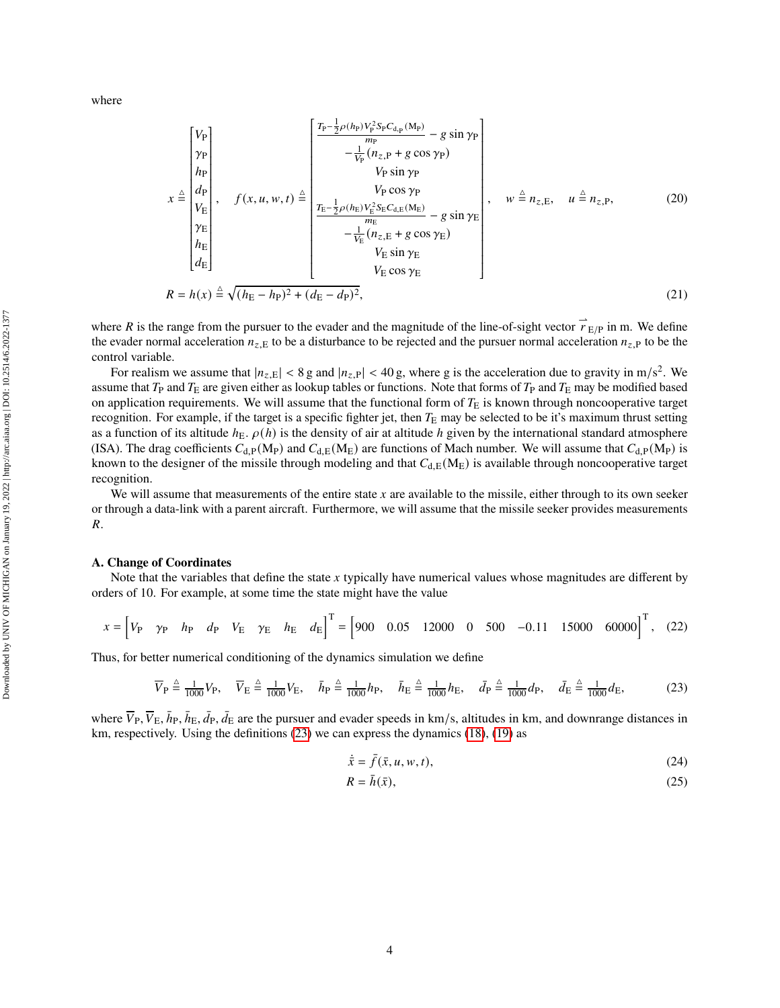where

$$
x \triangleq \begin{bmatrix} V_{\rm P} \\ \gamma_{\rm P} \\ h_{\rm P} \\ V_{\rm E} \\ \gamma_{\rm E} \\ h_{\rm E} \\ d_{\rm E} \end{bmatrix}, \quad f(x, u, w, t) \triangleq \begin{bmatrix} \frac{T_{\rm P} - \frac{1}{2}\rho(h_{\rm P})V_{\rm P}^{2}S_{\rm P}C_{\rm d,p}(M_{\rm P})}{m_{\rm P}} - g\sin\gamma_{\rm P} \\ -\frac{1}{V_{\rm P}}(n_{z,\rm P} + g\cos\gamma_{\rm P}) \\ V_{\rm P}\sin\gamma_{\rm P} \\ V_{\rm P}\cos\gamma_{\rm P} \\ V_{\rm E}\cos\gamma_{\rm E} \\ m_{\rm E} \\ d_{\rm E} \end{bmatrix}, \quad w \triangleq n_{z,\rm E}, \quad u \triangleq n_{z,\rm P}, \quad (20)
$$
  

$$
-\frac{1}{V_{\rm E}}(n_{z,\rm E} + g\cos\gamma_{\rm E}) \\ V_{\rm E}\sin\gamma_{\rm E} \\ V_{\rm E}\cos\gamma_{\rm E}
$$
  

$$
N_{\rm E}\cos\gamma_{\rm E}
$$
  

$$
N_{\rm E}\cos\gamma_{\rm E}
$$
  

$$
N_{\rm E}\cos\gamma_{\rm E}
$$
  

$$
N_{\rm E}\cos\gamma_{\rm E}
$$
  

$$
N_{\rm E}\cos\gamma_{\rm E}
$$
  

$$
N_{\rm E}\cos\gamma_{\rm E}
$$
  

$$
N_{\rm E}\cos\gamma_{\rm E}
$$
  

$$
(21)
$$

where R is the range from the pursuer to the evader and the magnitude of the line-of-sight vector  $\vec{r}_{E/P}$  in m. We define the evader normal acceleration  $n_{z,E}$  to be a disturbance to be rejected and the pursuer normal acceleration  $n_{z,P}$  to be the control variable.

For realism we assume that  $|n_{z,E}| < 8 g$  and  $|n_{z,P}| < 40 g$ , where g is the acceleration due to gravity in m/s<sup>2</sup>. We assume that  $T_P$  and  $T_E$  are given either as lookup tables or functions. Note that forms of  $T_P$  and  $T_E$  may be modified based on application requirements. We will assume that the functional form of  $T<sub>E</sub>$  is known through noncooperative target recognition. For example, if the target is a specific fighter jet, then  $T<sub>E</sub>$  may be selected to be it's maximum thrust setting as a function of its altitude  $h_E$ .  $\rho(h)$  is the density of air at altitude h given by the international standard atmosphere (ISA). The drag coefficients  $C_{d,P}(M_P)$  and  $C_{d,E}(M_E)$  are functions of Mach number. We will assume that  $C_{d,P}(M_P)$  is known to the designer of the missile through modeling and that  $C_{d,E}(M_E)$  is available through noncooperative target recognition.

We will assume that measurements of the entire state  $x$  are available to the missile, either through to its own seeker or through a data-link with a parent aircraft. Furthermore, we will assume that the missile seeker provides measurements  $R$ .

#### **A. Change of Coordinates**

Note that the variables that define the state x typically have numerical values whose magnitudes are different by orders of 10. For example, at some time the state might have the value

$$
x = \begin{bmatrix} V_{\rm P} & \gamma_{\rm P} & h_{\rm P} & d_{\rm P} & V_{\rm E} & \gamma_{\rm E} & h_{\rm E} & d_{\rm E} \end{bmatrix}^{\rm T} = \begin{bmatrix} 900 & 0.05 & 12000 & 0 & 500 & -0.11 & 15000 & 60000 \end{bmatrix}^{\rm T}, \quad (22)
$$

Thus, for better numerical conditioning of the dynamics simulation we define

$$
\overline{V}_{\rm P} \stackrel{\Delta}{=} \frac{1}{1000} V_{\rm P}, \quad \overline{V}_{\rm E} \stackrel{\Delta}{=} \frac{1}{1000} V_{\rm E}, \quad \overline{h}_{\rm P} \stackrel{\Delta}{=} \frac{1}{1000} h_{\rm P}, \quad \overline{h}_{\rm E} \stackrel{\Delta}{=} \frac{1}{1000} h_{\rm E}, \quad \overline{d}_{\rm P} \stackrel{\Delta}{=} \frac{1}{1000} d_{\rm P}, \quad \overline{d}_{\rm E} \stackrel{\Delta}{=} \frac{1}{1000} d_{\rm E}, \tag{23}
$$

where  $\overline{V}_P$ ,  $\overline{V}_E$ ,  $\overline{h}_P$ ,  $\overline{h}_E$ ,  $\overline{d}_P$ ,  $\overline{d}_E$  are the pursuer and evader speeds in km/s, altitudes in km, and downrange distances in km, respectively. Using the definitions [\(23\)](#page-3-0) we can express the dynamics [\(18\)](#page-2-6), [\(19\)](#page-2-7) as

<span id="page-3-0"></span>
$$
\dot{\bar{x}} = \bar{f}(\bar{x}, u, w, t),\tag{24}
$$

<span id="page-3-2"></span><span id="page-3-1"></span>
$$
R = \bar{h}(\bar{x}),\tag{25}
$$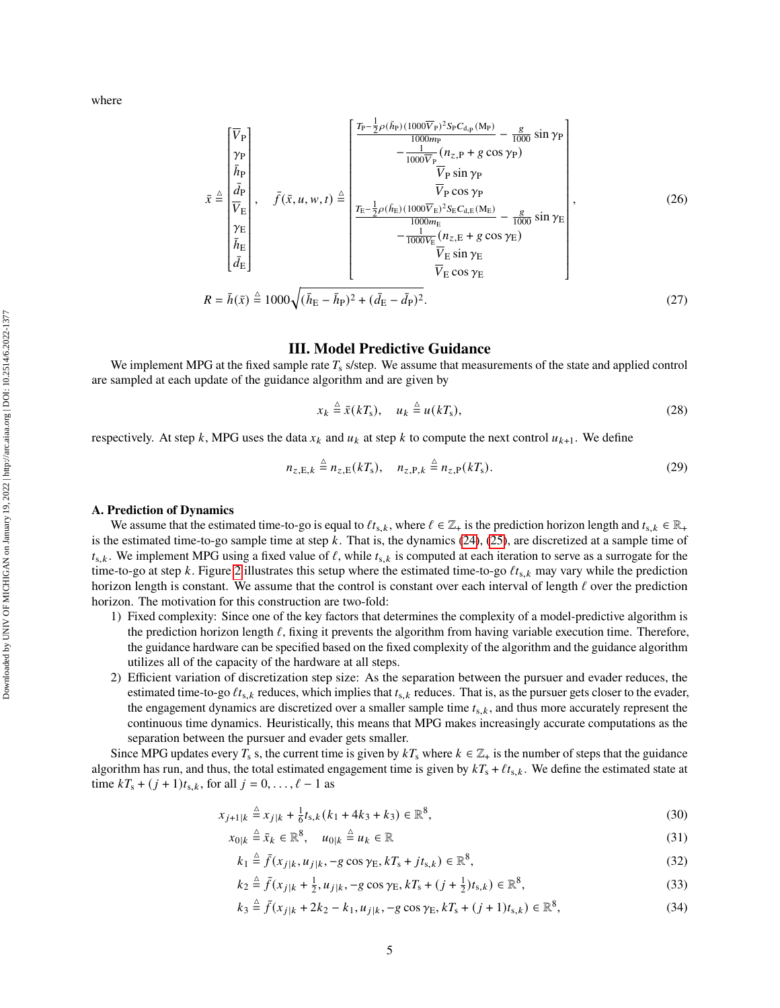where

$$
\bar{x} \triangleq \begin{bmatrix} \overline{V}_{P} \\ \gamma_{P} \\ \overline{h}_{P} \\ \overline{h}_{P} \\ \overline{V}_{E} \\ \overline{h}_{E} \\ \overline{h}_{E} \\ \overline{d}_{E} \end{bmatrix}, \quad \bar{f}(\bar{x}, u, w, t) \triangleq \begin{bmatrix} \frac{T_{P} - \frac{1}{2}\rho(\bar{h}_{P})(1000\overline{V}_{P})^{2}S_{P}C_{d,p}(M_{P})}{10000m_{P}} - \frac{g}{1000} \sin \gamma_{P} \\ -\frac{1}{1000\overline{V}_{P}}(n_{z,P} + g \cos \gamma_{P}) \\ \overline{V}_{P} \sin \gamma_{P} \\ \overline{V}_{P} \cos \gamma_{P} \\ \overline{V}_{E} \\ \overline{h}_{E} \\ \overline{h}_{E} \\ \overline{d}_{E} \end{bmatrix}, \quad \bar{f}(\bar{x}, u, w, t) \triangleq \begin{bmatrix} \frac{T_{P} - \frac{1}{2}\rho(\bar{h}_{P})(1000\overline{V}_{P})^{2}S_{P}C_{d,p}(M_{P})}{V_{P} \cos \gamma_{P}} - \frac{g}{1000} \sin \gamma_{E} \\ \frac{T_{E} - \frac{1}{2}\rho(\bar{h}_{E})(1000\overline{V}_{E})^{2}S_{E}C_{d,E}(M_{E})}{V_{E} \cos \gamma_{E}} - \frac{g}{1000} \sin \gamma_{E} \\ \overline{V}_{E} \sin \gamma_{E} \\ \overline{V}_{E} \cos \gamma_{E} \end{bmatrix}, \quad (26)
$$
\n
$$
R = \bar{h}(\bar{x}) \triangleq 1000 \sqrt{(\bar{h}_{E} - \bar{h}_{P})^{2} + (\bar{d}_{E} - \bar{d}_{P})^{2}}.
$$
\n
$$
(27)
$$

# **III. Model Predictive Guidance**

We implement MPG at the fixed sample rate  $T_s$  s/step. We assume that measurements of the state and applied control are sampled at each update of the guidance algorithm and are given by

$$
x_k \stackrel{\Delta}{=} \bar{x}(kT_s), \quad u_k \stackrel{\Delta}{=} u(kT_s), \tag{28}
$$

respectively. At step k, MPG uses the data  $x_k$  and  $u_k$  at step k to compute the next control  $u_{k+1}$ . We define

$$
n_{z,E,k} \stackrel{\Delta}{=} n_{z,E}(kT_s), \quad n_{z,P,k} \stackrel{\Delta}{=} n_{z,P}(kT_s). \tag{29}
$$

## **A. Prediction of Dynamics**

We assume that the estimated time-to-go is equal to  $\ell t_{s,k}$ , where  $\ell \in \mathbb{Z}_+$  is the prediction horizon length and  $t_{s,k} \in \mathbb{R}_+$ is the estimated time-to-go sample time at step  $k$ . That is, the dynamics [\(24\)](#page-3-1), [\(25\)](#page-3-2), are discretized at a sample time of  $t_{s,k}$ . We implement MPG using a fixed value of  $\ell$ , while  $t_{s,k}$  is computed at each iteration to serve as a surrogate for the time-to-go at step k. Figure [2](#page-5-0) illustrates this setup where the estimated time-to-go  $\ell t_{s,k}$  may vary while the prediction horizon length is constant. We assume that the control is constant over each interval of length  $\ell$  over the prediction horizon. The motivation for this construction are two-fold:

- 1) Fixed complexity: Since one of the key factors that determines the complexity of a model-predictive algorithm is the prediction horizon length  $\ell$ , fixing it prevents the algorithm from having variable execution time. Therefore, the guidance hardware can be specified based on the fixed complexity of the algorithm and the guidance algorithm utilizes all of the capacity of the hardware at all steps.
- 2) Efficient variation of discretization step size: As the separation between the pursuer and evader reduces, the estimated time-to-go  $\ell t_{s,k}$  reduces, which implies that  $t_{s,k}$  reduces. That is, as the pursuer gets closer to the evader, the engagement dynamics are discretized over a smaller sample time  $t_{s,k}$ , and thus more accurately represent the continuous time dynamics. Heuristically, this means that MPG makes increasingly accurate computations as the separation between the pursuer and evader gets smaller.

Since MPG updates every  $T_s$  s, the current time is given by  $kT_s$  where  $k \in \mathbb{Z}_+$  is the number of steps that the guidance algorithm has run, and thus, the total estimated engagement time is given by  $kT_s + \ell t_{s,k}$ . We define the estimated state at time  $kT_s + (j + 1)t_{s,k}$ , for all  $j = 0, \ldots, \ell - 1$  as

$$
x_{j+1|k} \stackrel{\Delta}{=} x_{j|k} + \frac{1}{6}t_{s,k}(k_1 + 4k_3 + k_3) \in \mathbb{R}^8,
$$
\n(30)

$$
x_{0|k} \stackrel{\Delta}{=} \bar{x}_k \in \mathbb{R}^8, \quad u_{0|k} \stackrel{\Delta}{=} u_k \in \mathbb{R} \tag{31}
$$

<span id="page-4-0"></span>
$$
k_1 \stackrel{\Delta}{=} \bar{f}(x_{j|k}, u_{j|k}, -g \cos \gamma_E, kT_s + jt_{s,k}) \in \mathbb{R}^8,
$$
\n
$$
(32)
$$

$$
k_2 \stackrel{\Delta}{=} \bar{f}(x_{j|k} + \frac{1}{2}, u_{j|k}, -g \cos \gamma_E, kT_s + (j + \frac{1}{2})t_{s,k}) \in \mathbb{R}^8,
$$
\n(33)

<span id="page-4-1"></span>
$$
k_3 \stackrel{\Delta}{=} \bar{f}(x_{j|k} + 2k_2 - k_1, u_{j|k}, -g \cos \gamma_E, kT_s + (j+1)t_{s,k}) \in \mathbb{R}^8,
$$
\n(34)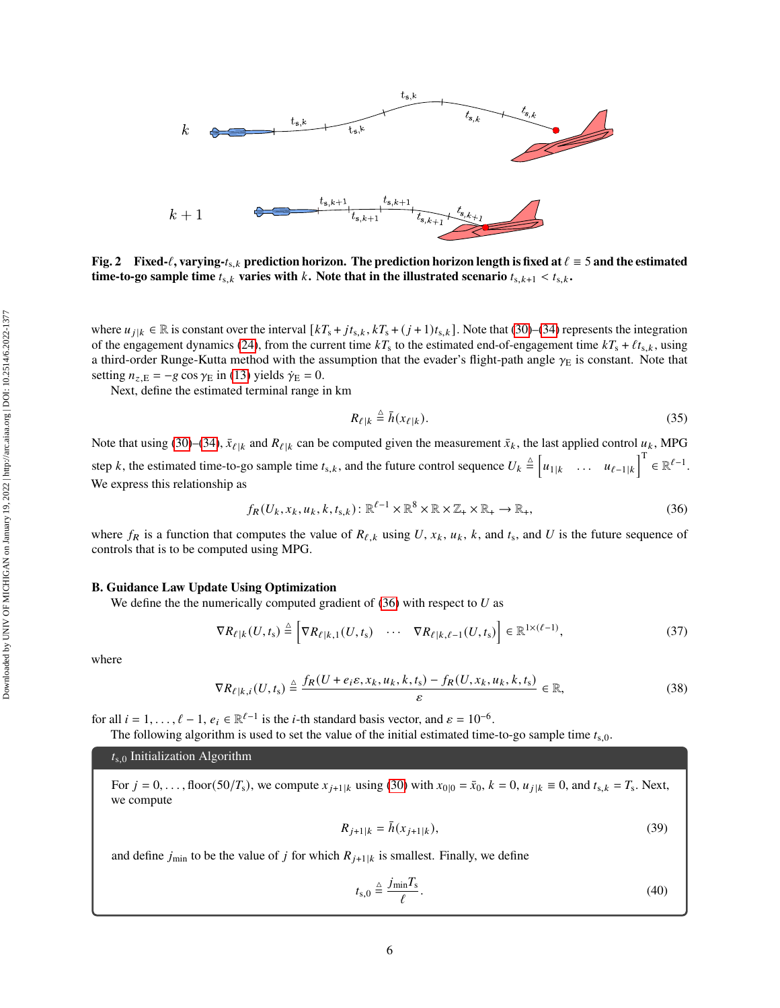<span id="page-5-0"></span>

where  $u_{j|k} \in \mathbb{R}$  is constant over the interval  $[kT_s + jt_{s,k}, kT_s + (j+1)t_{s,k}]$ . Note that [\(30\)](#page-4-0)–[\(34\)](#page-4-1) represents the integration of the engagement dynamics [\(24\)](#page-3-1), from the current time  $kT_s$  to the estimated end-of-engagement time  $kT_s + \ell t_{s,k}$ , using a third-order Runge-Kutta method with the assumption that the evader's flight-path angle  $\gamma_E$  is constant. Note that setting  $n_{z,E} = -g \cos \gamma_E$  in [\(13\)](#page-2-8) yields  $\dot{\gamma}_E = 0$ .

Next, define the estimated terminal range in km

<span id="page-5-1"></span>
$$
R_{\ell|k} \stackrel{\Delta}{=} \bar{h}(x_{\ell|k}).\tag{35}
$$

Note that using [\(30\)](#page-4-0)–[\(34\)](#page-4-1),  $\bar{x}_{\ell|k}$  and  $R_{\ell|k}$  can be computed given the measurement  $\bar{x}_k$ , the last applied control  $u_k$ , MPG step k, the estimated time-to-go sample time  $t_{s,k}$ , and the future control sequence  $U_k \triangleq \begin{bmatrix} u_{1|k} & \dots & u_{\ell-1|k} \end{bmatrix}^T \in \mathbb{R}^{\ell-1}$ . We express this relationship as

$$
f_R(U_k, x_k, u_k, k, t_{s,k}): \mathbb{R}^{\ell-1} \times \mathbb{R}^8 \times \mathbb{R} \times \mathbb{Z}_+ \times \mathbb{R}_+ \to \mathbb{R}_+, \tag{36}
$$

where  $f_R$  is a function that computes the value of  $R_{\ell,k}$  using U,  $x_k$ ,  $u_k$ ,  $k$ , and  $t_s$ , and U is the future sequence of controls that is to be computed using MPG.

### **B. Guidance Law Update Using Optimization**

We define the the numerically computed gradient of  $(36)$  with respect to U as

$$
\nabla R_{\ell|k}(U, t_{\rm s}) \stackrel{\Delta}{=} \left[ \nabla R_{\ell|k,1}(U, t_{\rm s}) \quad \cdots \quad \nabla R_{\ell|k,\ell-1}(U, t_{\rm s}) \right] \in \mathbb{R}^{1 \times (\ell-1)},\tag{37}
$$

where

$$
\nabla R_{\ell|k,i}(U,t_{\rm s}) \stackrel{\Delta}{=} \frac{f_R(U+e_i\varepsilon,x_k,u_k,k,t_{\rm s}) - f_R(U,x_k,u_k,k,t_{\rm s})}{\varepsilon} \in \mathbb{R},\tag{38}
$$

for all  $i = 1, ..., \ell - 1$ ,  $e_i \in \mathbb{R}^{\ell-1}$  is the *i*-th standard basis vector, and  $\varepsilon = 10^{-6}$ .

The following algorithm is used to set the value of the initial estimated time-to-go sample time  $t_{s,0}$ .

 $t_{s,0}$  Initialization Algorithm

For  $j = 0, \ldots$ , floor(50/ $T_s$ ), we compute  $x_{j+1|k}$  using [\(30\)](#page-4-0) with  $x_{0|0} = \bar{x}_0$ ,  $k = 0$ ,  $u_{j|k} \equiv 0$ , and  $t_{s,k} = T_s$ . Next, we compute

$$
R_{j+1|k} = \bar{h}(x_{j+1|k}),\tag{39}
$$

and define  $j_{\text{min}}$  to be the value of j for which  $R_{i+1|k}$  is smallest. Finally, we define

$$
t_{\rm s,0} \triangleq \frac{j_{\rm min} T_{\rm s}}{\ell}.
$$
\n(40)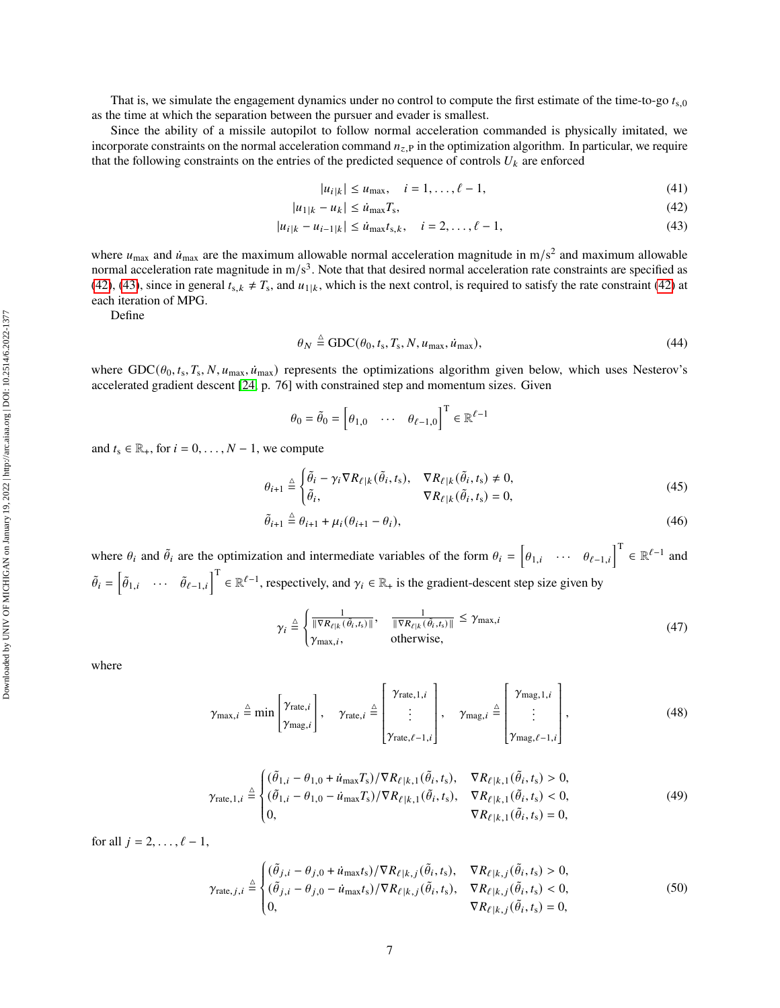That is, we simulate the engagement dynamics under no control to compute the first estimate of the time-to-go  $t_{s,0}$ as the time at which the separation between the pursuer and evader is smallest.

Since the ability of a missile autopilot to follow normal acceleration commanded is physically imitated, we incorporate constraints on the normal acceleration command  $n_{z,P}$  in the optimization algorithm. In particular, we require that the following constraints on the entries of the predicted sequence of controls  $U_k$  are enforced

<span id="page-6-3"></span><span id="page-6-1"></span><span id="page-6-0"></span>
$$
|u_{i|k}| \le u_{\max}, \quad i = 1, \dots, \ell - 1,
$$
\n(41)

$$
|u_{1|k} - u_k| \le \dot{u}_{\text{max}} T_s,\tag{42}
$$

$$
|u_{i|k} - u_{i-1|k}| \le \dot{u}_{\text{max}} t_{s,k}, \quad i = 2, \dots, \ell - 1,
$$
\n(43)

where  $u_{\text{max}}$  and  $\dot{u}_{\text{max}}$  are the maximum allowable normal acceleration magnitude in m/s<sup>2</sup> and maximum allowable normal acceleration rate magnitude in  $m/s<sup>3</sup>$ . Note that that desired normal acceleration rate constraints are specified as [\(42\)](#page-6-0), [\(43\)](#page-6-1), since in general  $t_{s,k} \neq T_s$ , and  $u_{1|k}$ , which is the next control, is required to satisfy the rate constraint (42) at each iteration of MPG.

Define

<span id="page-6-2"></span>
$$
\theta_N \stackrel{\Delta}{=} \text{GDC}(\theta_0, t_s, T_s, N, u_{\text{max}}, \dot{u}_{\text{max}}),\tag{44}
$$

where  $GDC(\theta_0, t_s, T_s, N, u_{\text{max}}, \dot{u}_{\text{max}})$  represents the optimizations algorithm given below, which uses Nesterov's accelerated gradient descent [\[24,](#page-15-8) p. 76] with constrained step and momentum sizes. Given

$$
\theta_0 = \tilde{\theta}_0 = \begin{bmatrix} \theta_{1,0} & \cdots & \theta_{\ell-1,0} \end{bmatrix}^{\mathrm{T}} \in \mathbb{R}^{\ell-1}
$$

and  $t_s \in \mathbb{R}_+$ , for  $i = 0, \ldots, N - 1$ , we compute

$$
\theta_{i+1} \stackrel{\Delta}{=} \begin{cases} \tilde{\theta}_i - \gamma_i \nabla R_{\ell|k}(\tilde{\theta}_i, t_s), & \nabla R_{\ell|k}(\tilde{\theta}_i, t_s) \neq 0, \\ \tilde{\theta}_i, & \nabla R_{\ell|k}(\tilde{\theta}_i, t_s) = 0, \end{cases} \tag{45}
$$

$$
\tilde{\theta}_{i+1} \stackrel{\Delta}{=} \theta_{i+1} + \mu_i (\theta_{i+1} - \theta_i),\tag{46}
$$

where  $\theta_i$  and  $\tilde{\theta}_i$  are the optimization and intermediate variables of the form  $\theta_i = \begin{bmatrix} \theta_{1,i} & \cdots & \theta_{\ell-1,i} \end{bmatrix}^T \in \mathbb{R}^{\ell-1}$  and  $\tilde{\theta}_i = \begin{bmatrix} \tilde{\theta}_{1,i} & \cdots & \tilde{\theta}_{\ell-1,i} \end{bmatrix}^T \in \mathbb{R}^{\ell-1}$ , respectively, and  $\gamma_i \in \mathbb{R}$  is the gradient-descent step size given by

$$
\gamma_i \stackrel{\triangle}{=} \begin{cases} \frac{1}{\|\nabla R_{\ell|k}(\tilde{\theta}_i, t_s)\|}, & \frac{1}{\|\nabla R_{\ell|k}(\tilde{\theta}_i, t_s)\|} \leq \gamma_{\text{max}, i} \\ \gamma_{\text{max}, i}, & \text{otherwise}, \end{cases} \tag{47}
$$

where

$$
\gamma_{\max,i} \triangleq \min\left[\gamma_{\max,i}\right], \quad \gamma_{\text{rate},i} \triangleq \begin{bmatrix} \gamma_{\text{rate},1,i} \\ \vdots \\ \gamma_{\text{rate},\ell-1,i} \end{bmatrix}, \quad \gamma_{\text{mag},i} \triangleq \begin{bmatrix} \gamma_{\text{mag},1,i} \\ \vdots \\ \gamma_{\text{mag},\ell-1,i} \end{bmatrix}, \tag{48}
$$

$$
\gamma_{\text{rate},1,i} \triangleq \begin{cases}\n(\tilde{\theta}_{1,i} - \theta_{1,0} + \dot{u}_{\text{max}}T_{\text{s}})/\nabla R_{\ell|k,1}(\tilde{\theta}_{i},t_{\text{s}}), & \nabla R_{\ell|k,1}(\tilde{\theta}_{i},t_{\text{s}}) > 0, \\
(\tilde{\theta}_{1,i} - \theta_{1,0} - \dot{u}_{\text{max}}T_{\text{s}})/\nabla R_{\ell|k,1}(\tilde{\theta}_{i},t_{\text{s}}), & \nabla R_{\ell|k,1}(\tilde{\theta}_{i},t_{\text{s}}) < 0, \\
0, & \nabla R_{\ell|k,1}(\tilde{\theta}_{i},t_{\text{s}}) = 0,\n\end{cases}
$$
\n(49)

for all  $j = 2, \ldots, \ell - 1$ ,

$$
\gamma_{\text{rate},j,i} \triangleq \begin{cases}\n(\tilde{\theta}_{j,i} - \theta_{j,0} + \dot{u}_{\text{max}}t_{\text{s}})/\nabla R_{\ell|k,j}(\tilde{\theta}_{i},t_{\text{s}}), & \nabla R_{\ell|k,j}(\tilde{\theta}_{i},t_{\text{s}}) > 0, \\
(\tilde{\theta}_{j,i} - \theta_{j,0} - \dot{u}_{\text{max}}t_{\text{s}})/\nabla R_{\ell|k,j}(\tilde{\theta}_{i},t_{\text{s}}), & \nabla R_{\ell|k,j}(\tilde{\theta}_{i},t_{\text{s}}) < 0, \\
0, & \nabla R_{\ell|k,j}(\tilde{\theta}_{i},t_{\text{s}}) = 0,\n\end{cases}
$$
\n(50)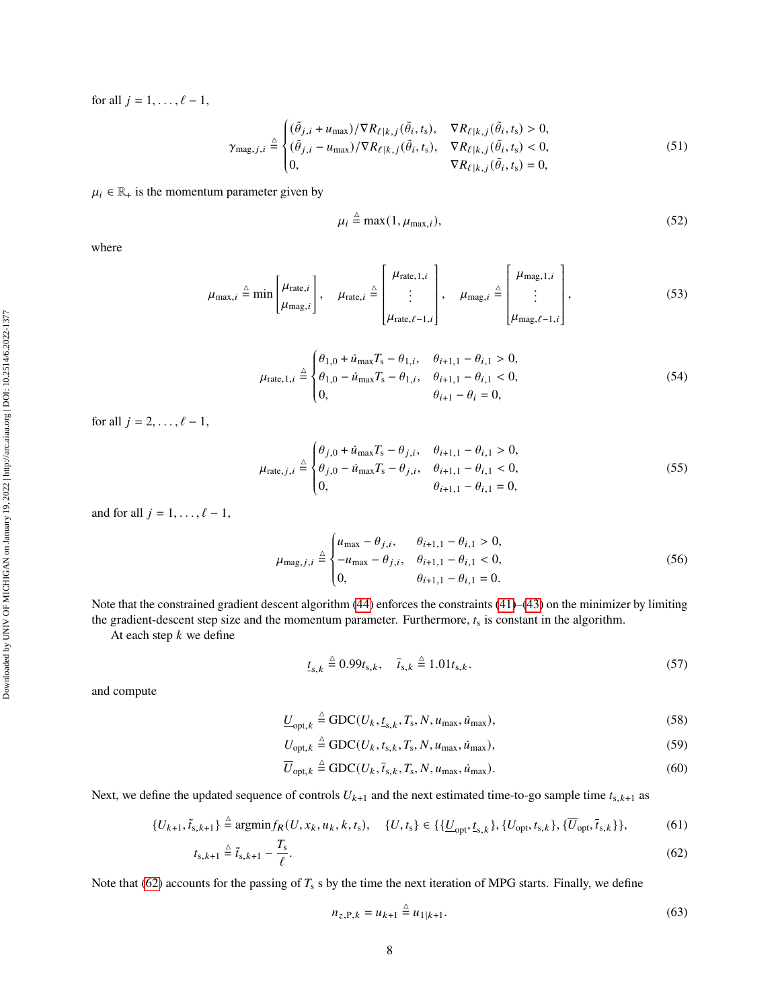for all  $j = 1, \ldots, \ell - 1$ ,

$$
\gamma_{\text{mag},j,i} \triangleq \begin{cases}\n(\tilde{\theta}_{j,i} + u_{\text{max}})/\nabla R_{\ell|k,j}(\tilde{\theta}_i, t_s), & \nabla R_{\ell|k,j}(\tilde{\theta}_i, t_s) > 0, \\
(\tilde{\theta}_{j,i} - u_{\text{max}})/\nabla R_{\ell|k,j}(\tilde{\theta}_i, t_s), & \nabla R_{\ell|k,j}(\tilde{\theta}_i, t_s) < 0, \\
0, & \nabla R_{\ell|k,j}(\tilde{\theta}_i, t_s) = 0,\n\end{cases}
$$
\n(51)

# $\mu_i \in \mathbb{R}_+$  is the momentum parameter given by

$$
\mu_i \stackrel{\Delta}{=} \max(1, \mu_{\max,i}),\tag{52}
$$

where

$$
\mu_{\max,i} \triangleq \min\left[\mu_{\text{rate},i}\right], \quad \mu_{\text{rate},i} \triangleq \begin{bmatrix} \mu_{\text{rate},1,i} \\ \vdots \\ \mu_{\text{rate},\ell-1,i} \end{bmatrix}, \quad \mu_{\text{mag},i} \triangleq \begin{bmatrix} \mu_{\text{mag},1,i} \\ \vdots \\ \mu_{\text{mag},\ell-1,i} \end{bmatrix}, \tag{53}
$$

$$
\mu_{\text{rate},1,i} \stackrel{\triangle}{=} \begin{cases} \theta_{1,0} + \dot{u}_{\text{max}} T_{\text{s}} - \theta_{1,i}, & \theta_{i+1,1} - \theta_{i,1} > 0, \\ \theta_{1,0} - \dot{u}_{\text{max}} T_{\text{s}} - \theta_{1,i}, & \theta_{i+1,1} - \theta_{i,1} < 0, \\ 0, & \theta_{i+1} - \theta_i = 0, \end{cases} \tag{54}
$$

for all  $j = 2, \ldots, \ell - 1$ ,

$$
\mu_{\text{rate},j,i} \stackrel{\triangle}{=} \begin{cases} \theta_{j,0} + \dot{u}_{\text{max}} T_{\text{s}} - \theta_{j,i}, & \theta_{i+1,1} - \theta_{i,1} > 0, \\ \theta_{j,0} - \dot{u}_{\text{max}} T_{\text{s}} - \theta_{j,i}, & \theta_{i+1,1} - \theta_{i,1} < 0, \\ 0, & \theta_{i+1,1} - \theta_{i,1} = 0, \end{cases} \tag{55}
$$

and for all  $j = 1, \ldots, \ell - 1$ ,

$$
\mu_{\text{mag},j,i} \stackrel{\triangle}{=} \begin{cases} u_{\text{max}} - \theta_{j,i}, & \theta_{i+1,1} - \theta_{i,1} > 0, \\ -u_{\text{max}} - \theta_{j,i}, & \theta_{i+1,1} - \theta_{i,1} < 0, \\ 0, & \theta_{i+1,1} - \theta_{i,1} = 0. \end{cases}
$$
(56)

Note that the constrained gradient descent algorithm [\(44\)](#page-6-2) enforces the constraints [\(41\)](#page-6-3)–[\(43\)](#page-6-1) on the minimizer by limiting the gradient-descent step size and the momentum parameter. Furthermore,  $t_s$  is constant in the algorithm.

Ĩ,

At each step  $k$  we define

$$
\underline{t}_{s,k} \stackrel{\Delta}{=} 0.99t_{s,k}, \quad \bar{t}_{s,k} \stackrel{\Delta}{=} 1.01t_{s,k}. \tag{57}
$$

and compute

$$
\underline{U}_{\text{opt},k} \stackrel{\Delta}{=} \text{GDC}(U_k, \underline{t}_{s,k}, T_s, N, u_{\text{max}}, \dot{u}_{\text{max}}),\tag{58}
$$

$$
U_{\text{opt},k} \stackrel{\Delta}{=} \text{GDC}(U_k, t_{\text{s},k}, T_{\text{s}}, N, u_{\text{max}}, \dot{u}_{\text{max}}),\tag{59}
$$

$$
\overline{U}_{\text{opt},k} \stackrel{\Delta}{=} \text{GDC}(U_k, \overline{t}_{s,k}, T_s, N, u_{\text{max}}, \dot{u}_{\text{max}}).
$$
\n(60)

Next, we define the updated sequence of controls  $U_{k+1}$  and the next estimated time-to-go sample time  $t_{s,k+1}$  as

$$
\{U_{k+1}, \tilde{t}_{s,k+1}\} \stackrel{\Delta}{=} \text{argmin} f_{R}(U, x_{k}, u_{k}, k, t_{s}), \quad \{U, t_{s}\} \in \{\{\underline{U}_{\text{opt}}, \underline{t}_{s,k}\}, \{U_{\text{opt}}, t_{s,k}\}, \{\overline{U}_{\text{opt}}, \overline{t}_{s,k}\}\},\tag{61}
$$

$$
t_{\mathbf{s},k+1} \stackrel{\Delta}{=} \tilde{t}_{\mathbf{s},k+1} - \frac{T_{\mathbf{s}}}{\ell}.\tag{62}
$$

Note that [\(62\)](#page-7-0) accounts for the passing of  $T_s$  s by the time the next iteration of MPG starts. Finally, we define

<span id="page-7-0"></span>
$$
n_{z,\mathbf{P},k} = u_{k+1} \stackrel{\Delta}{=} u_{1|k+1}.\tag{63}
$$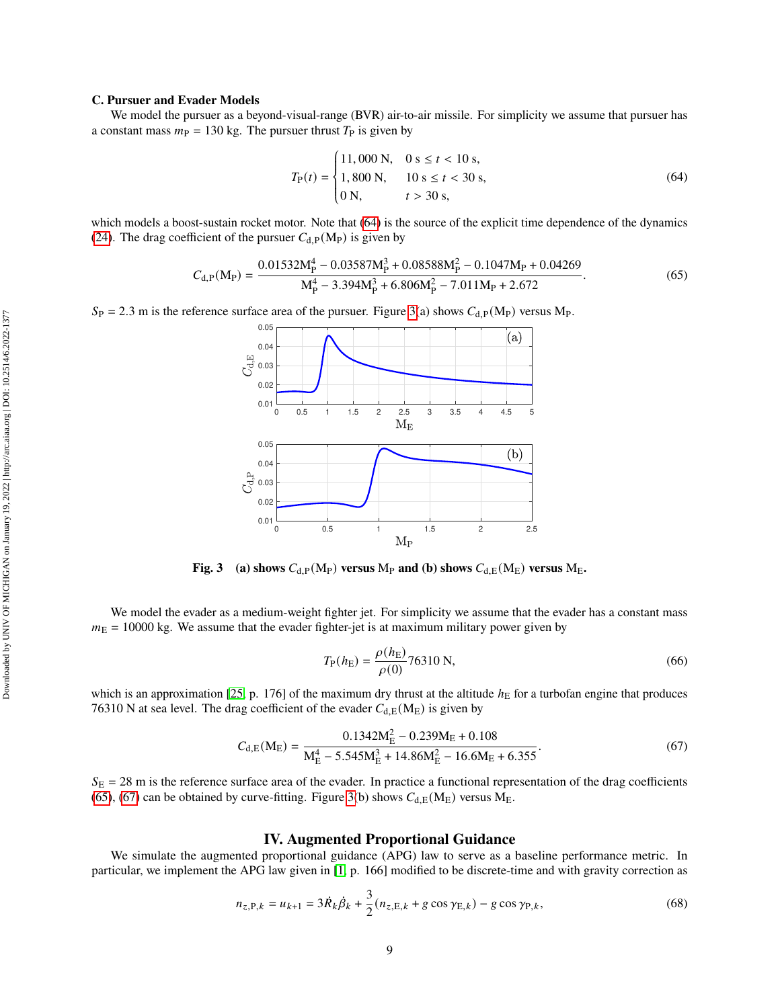#### **C. Pursuer and Evader Models**

We model the pursuer as a beyond-visual-range (BVR) air-to-air missile. For simplicity we assume that pursuer has a constant mass  $m<sub>P</sub> = 130$  kg. The pursuer thrust  $T<sub>P</sub>$  is given by

$$
T_{\rm P}(t) = \begin{cases} 11,000 \text{ N}, & 0 \text{ s} \le t < 10 \text{ s}, \\ 1,800 \text{ N}, & 10 \text{ s} \le t < 30 \text{ s}, \\ 0 \text{ N}, & t > 30 \text{ s}, \end{cases} \tag{64}
$$

which models a boost-sustain rocket motor. Note that [\(64\)](#page-8-0) is the source of the explicit time dependence of the dynamics [\(24\)](#page-3-1). The drag coefficient of the pursuer  $C_{d,P}(M_P)$  is given by

$$
C_{d,P}(M_P) = \frac{0.01532M_P^4 - 0.03587M_P^3 + 0.08588M_P^2 - 0.1047M_P + 0.04269}{M_P^4 - 3.394M_P^3 + 6.806M_P^2 - 7.011M_P + 2.672}.
$$
\n(65)

<span id="page-8-1"></span> $S_P = 2.3$  m is the reference surface area of the pursuer. Figure [3\(](#page-8-1)a) shows  $C_{d,P}(M_P)$  versus Mp.

<span id="page-8-2"></span><span id="page-8-0"></span>J.



**Fig. 3** (a) shows  $C_{d,P}(M_P)$  **versus**  $M_P$  **and (b) shows**  $C_{d,E}(M_E)$  **versus**  $M_E$ .

We model the evader as a medium-weight fighter jet. For simplicity we assume that the evader has a constant mass  $m<sub>E</sub> = 10000$  kg. We assume that the evader fighter-jet is at maximum military power given by

<span id="page-8-3"></span>
$$
T_{\rm P}(h_{\rm E}) = \frac{\rho(h_{\rm E})}{\rho(0)} 76310 \text{ N},\tag{66}
$$

which is an approximation [\[25,](#page-15-9) p. 176] of the maximum dry thrust at the altitude  $h<sub>E</sub>$  for a turbofan engine that produces 76310 N at sea level. The drag coefficient of the evader  $C_{d,E}(M_E)$  is given by

$$
C_{d,E}(M_E) = \frac{0.1342M_E^2 - 0.239M_E + 0.108}{M_E^4 - 5.545M_E^3 + 14.86M_E^2 - 16.6M_E + 6.355}.
$$
\n(67)

 $S_E = 28$  m is the reference surface area of the evader. In practice a functional representation of the drag coefficients [\(65\)](#page-8-2), [\(67\)](#page-8-3) can be obtained by curve-fitting. Figure [3\(](#page-8-1)b) shows  $C_{d,E}(M_E)$  versus  $M_E$ .

## <span id="page-8-4"></span>**IV. Augmented Proportional Guidance**

We simulate the augmented proportional guidance (APG) law to serve as a baseline performance metric. In particular, we implement the APG law given in [\[1,](#page-14-0) p. 166] modified to be discrete-time and with gravity correction as

$$
n_{z,\text{P},k} = u_{k+1} = 3\dot{R}_k \dot{\beta}_k + \frac{3}{2} (n_{z,\text{E},k} + g \cos \gamma_{\text{E},k}) - g \cos \gamma_{\text{P},k},\tag{68}
$$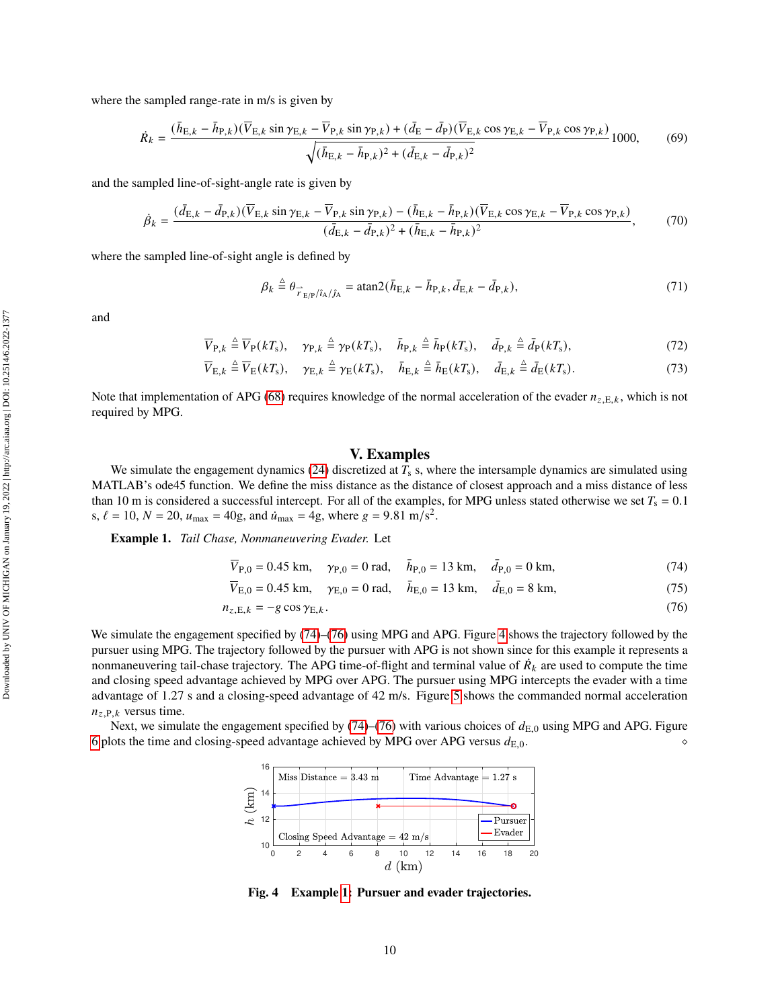where the sampled range-rate in m/s is given by

$$
\dot{R}_{k} = \frac{(\bar{h}_{\text{E},k} - \bar{h}_{\text{P},k})(\overline{V}_{\text{E},k}\sin\gamma_{\text{E},k} - \overline{V}_{\text{P},k}\sin\gamma_{\text{P},k}) + (\bar{d}_{\text{E}} - \bar{d}_{\text{P}})(\overline{V}_{\text{E},k}\cos\gamma_{\text{E},k} - \overline{V}_{\text{P},k}\cos\gamma_{\text{P},k})}{\sqrt{(\bar{h}_{\text{E},k} - \bar{h}_{\text{P},k})^{2} + (\bar{d}_{\text{E},k} - \bar{d}_{\text{P},k})^{2}}}
$$
1000, (69)

and the sampled line-of-sight-angle rate is given by

$$
\dot{\beta}_k = \frac{(\bar{d}_{\mathrm{E},k} - \bar{d}_{\mathrm{P},k})(\overline{V}_{\mathrm{E},k}\sin\gamma_{\mathrm{E},k} - \overline{V}_{\mathrm{P},k}\sin\gamma_{\mathrm{P},k}) - (\bar{h}_{\mathrm{E},k} - \bar{h}_{\mathrm{P},k})(\overline{V}_{\mathrm{E},k}\cos\gamma_{\mathrm{E},k} - \overline{V}_{\mathrm{P},k}\cos\gamma_{\mathrm{P},k})}{(\bar{d}_{\mathrm{E},k} - \bar{d}_{\mathrm{P},k})^2 + (\bar{h}_{\mathrm{E},k} - \bar{h}_{\mathrm{P},k})^2},\tag{70}
$$

where the sampled line-of-sight angle is defined by

$$
\beta_k \stackrel{\Delta}{=} \theta_{\stackrel{\frown}{r}_{E/P}/\hat{t}_A/\hat{J}_A} = \text{atan2}(\bar{h}_{E,k} - \bar{h}_{P,k}, \bar{d}_{E,k} - \bar{d}_{P,k}),\tag{71}
$$

and

$$
\overline{V}_{P,k} \stackrel{\Delta}{=} \overline{V}_P(kT_s), \quad \gamma_{P,k} \stackrel{\Delta}{=} \gamma_P(kT_s), \quad \overline{h}_{P,k} \stackrel{\Delta}{=} \overline{h}_P(kT_s), \quad \overline{d}_{P,k} \stackrel{\Delta}{=} \overline{d}_P(kT_s), \tag{72}
$$

$$
\overline{V}_{E,k} \stackrel{\Delta}{=} \overline{V}_E(kT_s), \quad \gamma_{E,k} \stackrel{\Delta}{=} \gamma_E(kT_s), \quad \overline{h}_{E,k} \stackrel{\Delta}{=} \overline{h}_E(kT_s), \quad \overline{d}_{E,k} \stackrel{\Delta}{=} \overline{d}_E(kT_s). \tag{73}
$$

Note that implementation of APG [\(68\)](#page-8-4) requires knowledge of the normal acceleration of the evader  $n_{z,E,k}$ , which is not required by MPG.

# <span id="page-9-4"></span><span id="page-9-1"></span><span id="page-9-0"></span>**V. Examples**

We simulate the engagement dynamics [\(24\)](#page-3-1) discretized at  $T_s$  s, where the intersample dynamics are simulated using MATLAB's ode45 function. We define the miss distance as the distance of closest approach and a miss distance of less than 10 m is considered a successful intercept. For all of the examples, for MPG unless stated otherwise we set  $T_s = 0.1$ s,  $\ell = 10$ ,  $N = 20$ ,  $u_{\text{max}} = 40$ g, and  $\dot{u}_{\text{max}} = 4$ g, where  $g = 9.81 \text{ m/s}^2$ .

<span id="page-9-3"></span>**Example 1.** *Tail Chase, Nonmaneuvering Evader.* Let

$$
\overline{V}_{P,0} = 0.45 \text{ km}, \quad \gamma_{P,0} = 0 \text{ rad}, \quad \overline{h}_{P,0} = 13 \text{ km}, \quad \overline{d}_{P,0} = 0 \text{ km}, \tag{74}
$$

$$
\overline{V}_{E,0} = 0.45 \text{ km}, \quad \gamma_{E,0} = 0 \text{ rad}, \quad \overline{h}_{E,0} = 13 \text{ km}, \quad \overline{d}_{E,0} = 8 \text{ km}, \tag{75}
$$

$$
n_{z,E,k} = -g \cos \gamma_{E,k}.\tag{76}
$$

We simulate the engagement specified by [\(74\)](#page-9-0)–[\(76\)](#page-9-1) using MPG and APG. Figure [4](#page-9-2) shows the trajectory followed by the pursuer using MPG. The trajectory followed by the pursuer with APG is not shown since for this example it represents a nonmaneuvering tail-chase trajectory. The APG time-of-flight and terminal value of  $\dot{R_k}$  are used to compute the time and closing speed advantage achieved by MPG over APG. The pursuer using MPG intercepts the evader with a time advantage of 1.27 s and a closing-speed advantage of 42 m/s. Figure [5](#page-10-0) shows the commanded normal acceleration  $n_{z,P,k}$  versus time.

<span id="page-9-2"></span>Next, we simulate the engagement specified by [\(74\)](#page-9-0)–[\(76\)](#page-9-1) with various choices of  $d_{E,0}$  using MPG and APG. Figure [6](#page-10-1) plots the time and closing-speed advantage achieved by MPG over APG versus  $d_{E,0}$ .



**Fig. 4 Example [1:](#page-9-3) Pursuer and evader trajectories.**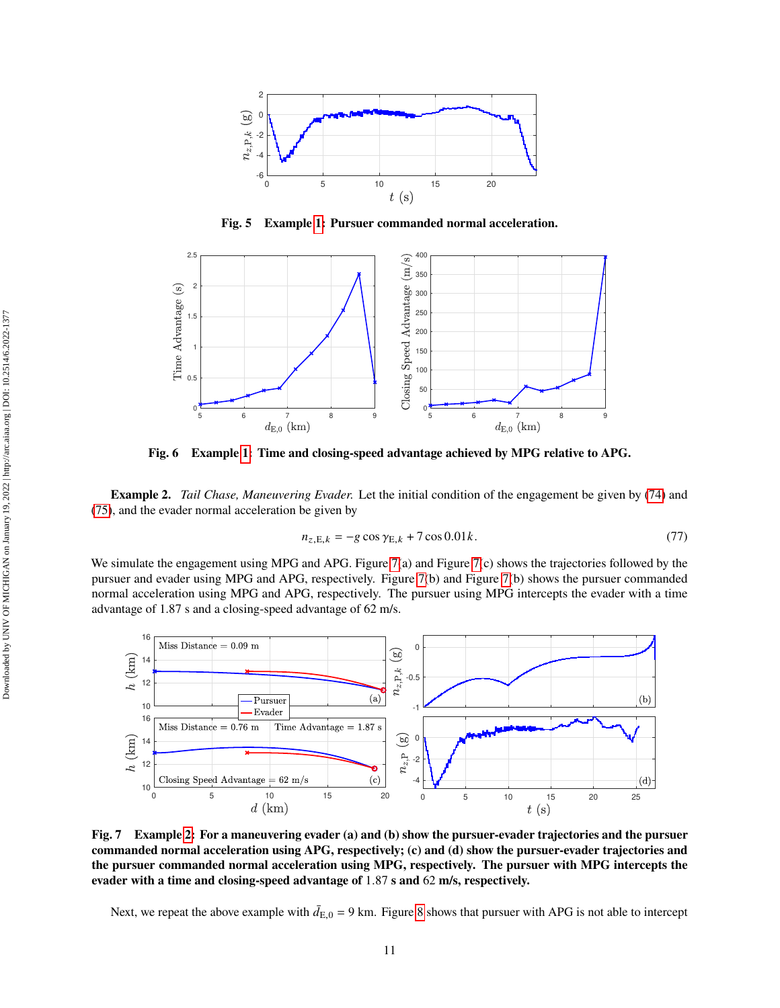<span id="page-10-0"></span>

**Fig. 5 Example [1:](#page-9-3) Pursuer commanded normal acceleration.**

<span id="page-10-1"></span>

**Fig. 6 Example [1:](#page-9-3) Time and closing-speed advantage achieved by MPG relative to APG.**

<span id="page-10-3"></span>**Example 2.** *Tail Chase, Maneuvering Evader.* Let the initial condition of the engagement be given by [\(74\)](#page-9-0) and [\(75\)](#page-9-4), and the evader normal acceleration be given by

$$
n_{z,E,k} = -g\cos\gamma_{E,k} + 7\cos 0.01k. \tag{77}
$$

We simulate the engagement using MPG and APG. Figure  $7(a)$  and Figure  $7(c)$  shows the trajectories followed by the pursuer and evader using MPG and APG, respectively. Figure [7\(](#page-10-2)b) and Figure [7\(](#page-10-2)b) shows the pursuer commanded normal acceleration using MPG and APG, respectively. The pursuer using MPG intercepts the evader with a time advantage of 1.87 s and a closing-speed advantage of 62 m/s.

<span id="page-10-2"></span>

**Fig. 7 Example [2:](#page-10-3) For a maneuvering evader (a) and (b) show the pursuer-evader trajectories and the pursuer commanded normal acceleration using APG, respectively; (c) and (d) show the pursuer-evader trajectories and the pursuer commanded normal acceleration using MPG, respectively. The pursuer with MPG intercepts the evader with a time and closing-speed advantage of** 1.87 **s and** 62 **m/s, respectively.**

Next, we repeat the above example with  $\bar{d}_{E,0} = 9$  km. Figure [8](#page-11-0) shows that pursuer with APG is not able to intercept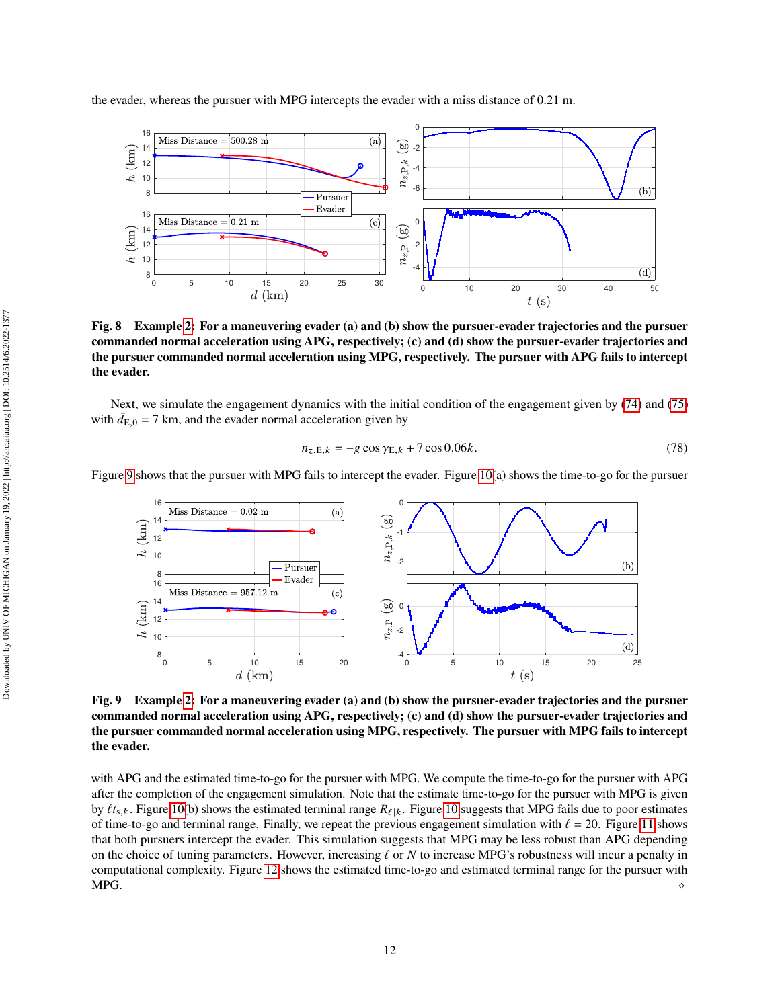<span id="page-11-0"></span>

**Fig. 8 Example [2:](#page-10-3) For a maneuvering evader (a) and (b) show the pursuer-evader trajectories and the pursuer commanded normal acceleration using APG, respectively; (c) and (d) show the pursuer-evader trajectories and the pursuer commanded normal acceleration using MPG, respectively. The pursuer with APG fails to intercept the evader.**

Next, we simulate the engagement dynamics with the initial condition of the engagement given by [\(74\)](#page-9-0) and [\(75\)](#page-9-4) with  $\bar{d}_{E,0} = 7$  km, and the evader normal acceleration given by

$$
n_{z,E,k} = -g\cos\gamma_{E,k} + 7\cos 0.06k.
$$
 (78)

<span id="page-11-1"></span>Figure [9](#page-11-1) shows that the pursuer with MPG fails to intercept the evader. Figure [10\(](#page-12-0)a) shows the time-to-go for the pursuer



**Fig. 9 Example [2:](#page-10-3) For a maneuvering evader (a) and (b) show the pursuer-evader trajectories and the pursuer commanded normal acceleration using APG, respectively; (c) and (d) show the pursuer-evader trajectories and the pursuer commanded normal acceleration using MPG, respectively. The pursuer with MPG fails to intercept the evader.**

with APG and the estimated time-to-go for the pursuer with MPG. We compute the time-to-go for the pursuer with APG after the completion of the engagement simulation. Note that the estimate time-to-go for the pursuer with MPG is given by  $\ell t_{s,k}$ . Figure [10\(](#page-12-0)b) shows the estimated terminal range  $R_{\ell|k}$ . Figure [10](#page-12-0) suggests that MPG fails due to poor estimates of time-to-go and terminal range. Finally, we repeat the previous engagement simulation with  $\ell = 20$ . Figure [11](#page-12-1) shows that both pursuers intercept the evader. This simulation suggests that MPG may be less robust than APG depending on the choice of tuning parameters. However, increasing  $\ell$  or  $N$  to increase MPG's robustness will incur a penalty in computational complexity. Figure [12](#page-12-2) shows the estimated time-to-go and estimated terminal range for the pursuer with MPG.  $\bullet$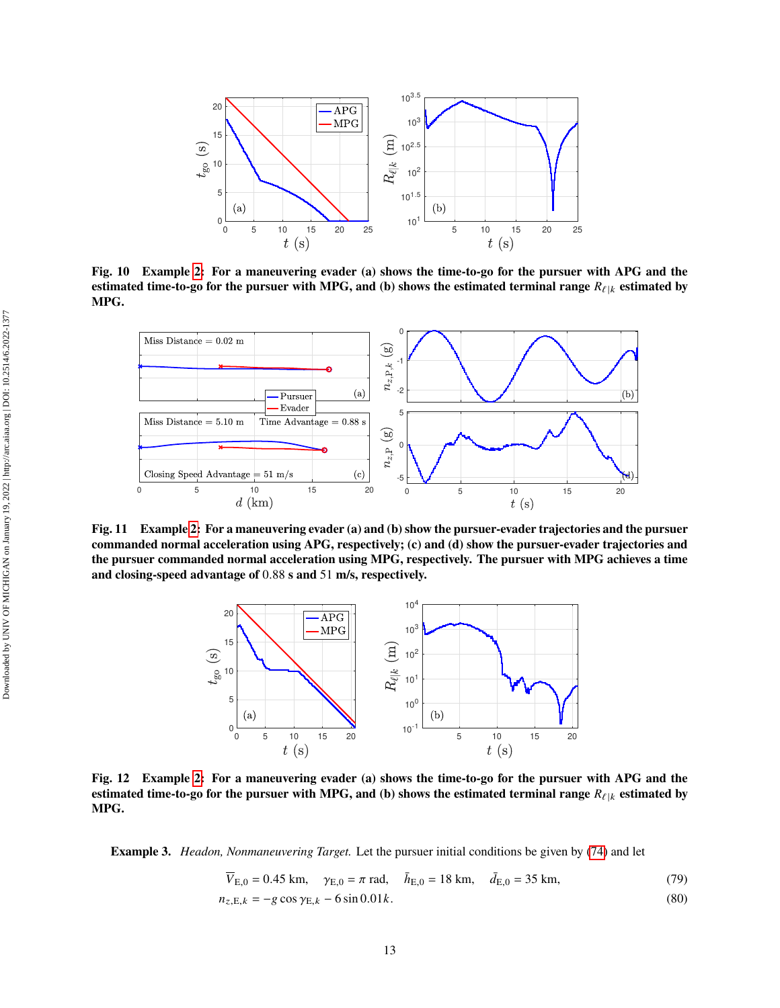<span id="page-12-0"></span>

**Fig. 10 Example [2:](#page-10-3) For a maneuvering evader (a) shows the time-to-go for the pursuer with APG and the estimated time-to-go for the pursuer with MPG, and (b) shows the estimated terminal range**  $R_{\ell|k}$  estimated by **MPG.**

<span id="page-12-1"></span>

<span id="page-12-2"></span>**Fig. 11 Example [2:](#page-10-3) For a maneuvering evader (a) and (b) show the pursuer-evader trajectories and the pursuer commanded normal acceleration using APG, respectively; (c) and (d) show the pursuer-evader trajectories and the pursuer commanded normal acceleration using MPG, respectively. The pursuer with MPG achieves a time and closing-speed advantage of** 0.88 **s and** 51 **m/s, respectively.**



**Fig. 12 Example [2:](#page-10-3) For a maneuvering evader (a) shows the time-to-go for the pursuer with APG and the estimated time-to-go for the pursuer with MPG, and (b) shows the estimated terminal range**  $R_{\ell|k}$  estimated by **MPG.**

<span id="page-12-3"></span>**Example 3.** *Headon, Nonmaneuvering Target.* Let the pursuer initial conditions be given by [\(74\)](#page-9-0) and let

$$
\overline{V}_{E,0} = 0.45 \text{ km}, \quad \gamma_{E,0} = \pi \text{ rad}, \quad \overline{h}_{E,0} = 18 \text{ km}, \quad \overline{d}_{E,0} = 35 \text{ km}, \tag{79}
$$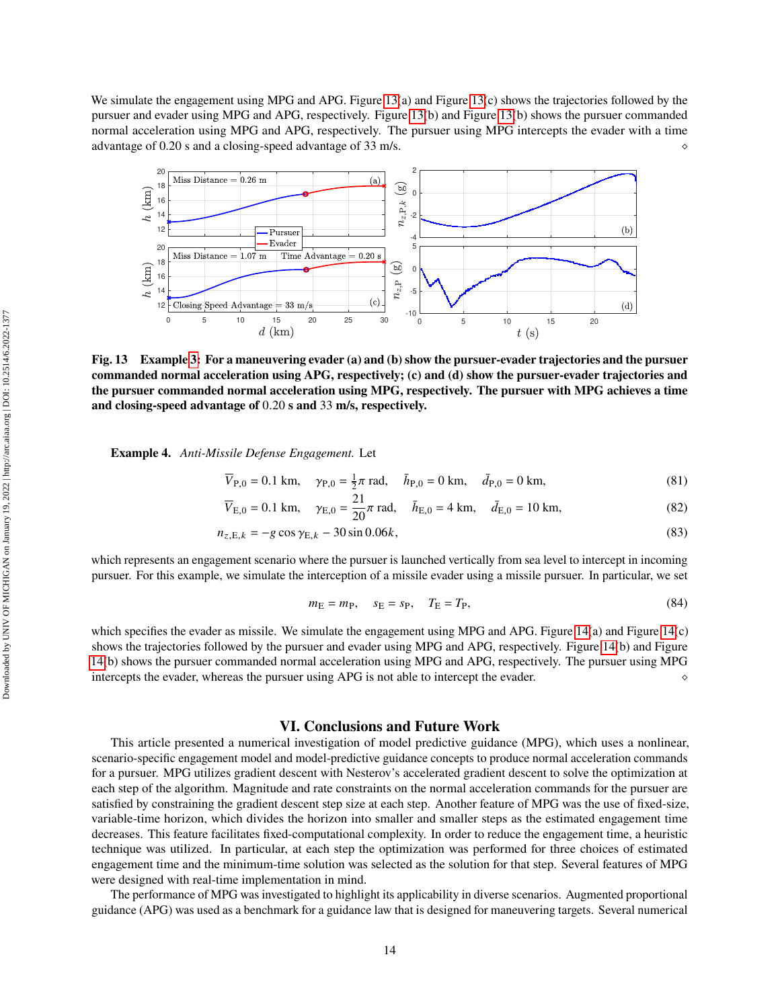We simulate the engagement using MPG and APG. Figure [13\(](#page-13-0)a) and Figure 13(c) shows the trajectories followed by the pursuer and evader using MPG and APG, respectively. Figure [13\(](#page-13-0)b) and Figure [13\(](#page-13-0)b) shows the pursuer commanded normal acceleration using MPG and APG, respectively. The pursuer using MPG intercepts the evader with a time advantage of 0.20 s and a closing-speed advantage of 33 m/s.

<span id="page-13-0"></span>

**Fig. 13 Example [3:](#page-12-3) For a maneuvering evader (a) and (b) show the pursuer-evader trajectories and the pursuer commanded normal acceleration using APG, respectively; (c) and (d) show the pursuer-evader trajectories and the pursuer commanded normal acceleration using MPG, respectively. The pursuer with MPG achieves a time and closing-speed advantage of** 0.20 **s and** 33 **m/s, respectively.**

<span id="page-13-1"></span>**Example 4.** *Anti-Missile Defense Engagement.* Let

$$
\overline{V}_{P,0} = 0.1 \text{ km}, \quad \gamma_{P,0} = \frac{1}{2}\pi \text{ rad}, \quad \bar{h}_{P,0} = 0 \text{ km}, \quad \bar{d}_{P,0} = 0 \text{ km}, \tag{81}
$$

$$
\overline{V}_{E,0} = 0.1 \text{ km}, \quad \gamma_{E,0} = \frac{21}{20} \pi \text{ rad}, \quad \overline{h}_{E,0} = 4 \text{ km}, \quad \overline{d}_{E,0} = 10 \text{ km},
$$
\n(82)

$$
n_{z,E,k} = -g\cos\gamma_{E,k} - 30\sin 0.06k,
$$
\n(83)

which represents an engagement scenario where the pursuer is launched vertically from sea level to intercept in incoming pursuer. For this example, we simulate the interception of a missile evader using a missile pursuer. In particular, we set

$$
m_{\rm E} = m_{\rm P}, \quad s_{\rm E} = s_{\rm P}, \quad T_{\rm E} = T_{\rm P}, \tag{84}
$$

which specifies the evader as missile. We simulate the engagement using MPG and APG. Figure [14\(](#page-14-7)a) and Figure 14(c) shows the trajectories followed by the pursuer and evader using MPG and APG, respectively. Figure [14\(](#page-14-7)b) and Figure [14\(](#page-14-7)b) shows the pursuer commanded normal acceleration using MPG and APG, respectively. The pursuer using MPG intercepts the evader, whereas the pursuer using APG is not able to intercept the evader.

# **VI. Conclusions and Future Work**

This article presented a numerical investigation of model predictive guidance (MPG), which uses a nonlinear, scenario-specific engagement model and model-predictive guidance concepts to produce normal acceleration commands for a pursuer. MPG utilizes gradient descent with Nesterov's accelerated gradient descent to solve the optimization at each step of the algorithm. Magnitude and rate constraints on the normal acceleration commands for the pursuer are satisfied by constraining the gradient descent step size at each step. Another feature of MPG was the use of fixed-size, variable-time horizon, which divides the horizon into smaller and smaller steps as the estimated engagement time decreases. This feature facilitates fixed-computational complexity. In order to reduce the engagement time, a heuristic technique was utilized. In particular, at each step the optimization was performed for three choices of estimated engagement time and the minimum-time solution was selected as the solution for that step. Several features of MPG were designed with real-time implementation in mind.

The performance of MPG was investigated to highlight its applicability in diverse scenarios. Augmented proportional guidance (APG) was used as a benchmark for a guidance law that is designed for maneuvering targets. Several numerical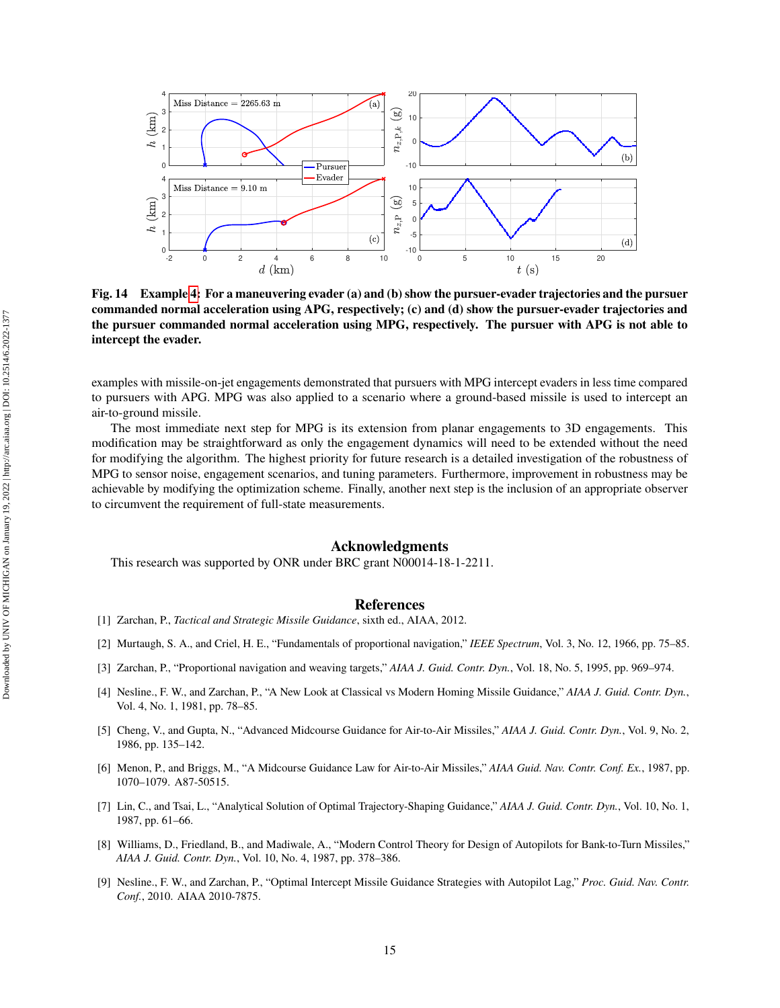<span id="page-14-7"></span>

**Fig. 14 Example [4:](#page-13-1) For a maneuvering evader (a) and (b) show the pursuer-evader trajectories and the pursuer commanded normal acceleration using APG, respectively; (c) and (d) show the pursuer-evader trajectories and the pursuer commanded normal acceleration using MPG, respectively. The pursuer with APG is not able to intercept the evader.**

examples with missile-on-jet engagements demonstrated that pursuers with MPG intercept evaders in less time compared to pursuers with APG. MPG was also applied to a scenario where a ground-based missile is used to intercept an air-to-ground missile.

The most immediate next step for MPG is its extension from planar engagements to 3D engagements. This modification may be straightforward as only the engagement dynamics will need to be extended without the need for modifying the algorithm. The highest priority for future research is a detailed investigation of the robustness of MPG to sensor noise, engagement scenarios, and tuning parameters. Furthermore, improvement in robustness may be achievable by modifying the optimization scheme. Finally, another next step is the inclusion of an appropriate observer to circumvent the requirement of full-state measurements.

## **Acknowledgments**

This research was supported by ONR under BRC grant N00014-18-1-2211.

### **References**

- <span id="page-14-0"></span>[1] Zarchan, P., *Tactical and Strategic Missile Guidance*, sixth ed., AIAA, 2012.
- <span id="page-14-1"></span>[2] Murtaugh, S. A., and Criel, H. E., "Fundamentals of proportional navigation," *IEEE Spectrum*, Vol. 3, No. 12, 1966, pp. 75–85.
- <span id="page-14-2"></span>[3] Zarchan, P., "Proportional navigation and weaving targets," *AIAA J. Guid. Contr. Dyn.*, Vol. 18, No. 5, 1995, pp. 969–974.
- <span id="page-14-3"></span>[4] Nesline., F. W., and Zarchan, P., "A New Look at Classical vs Modern Homing Missile Guidance," *AIAA J. Guid. Contr. Dyn.*, Vol. 4, No. 1, 1981, pp. 78–85.
- <span id="page-14-4"></span>[5] Cheng, V., and Gupta, N., "Advanced Midcourse Guidance for Air-to-Air Missiles," *AIAA J. Guid. Contr. Dyn.*, Vol. 9, No. 2, 1986, pp. 135–142.
- [6] Menon, P., and Briggs, M., "A Midcourse Guidance Law for Air-to-Air Missiles," *AIAA Guid. Nav. Contr. Conf. Ex.*, 1987, pp. 1070–1079. A87-50515.
- [7] Lin, C., and Tsai, L., "Analytical Solution of Optimal Trajectory-Shaping Guidance," *AIAA J. Guid. Contr. Dyn.*, Vol. 10, No. 1, 1987, pp. 61–66.
- <span id="page-14-6"></span>[8] Williams, D., Friedland, B., and Madiwale, A., "Modern Control Theory for Design of Autopilots for Bank-to-Turn Missiles," *AIAA J. Guid. Contr. Dyn.*, Vol. 10, No. 4, 1987, pp. 378–386.
- <span id="page-14-5"></span>[9] Nesline., F. W., and Zarchan, P., "Optimal Intercept Missile Guidance Strategies with Autopilot Lag," *Proc. Guid. Nav. Contr. Conf.*, 2010. AIAA 2010-7875.